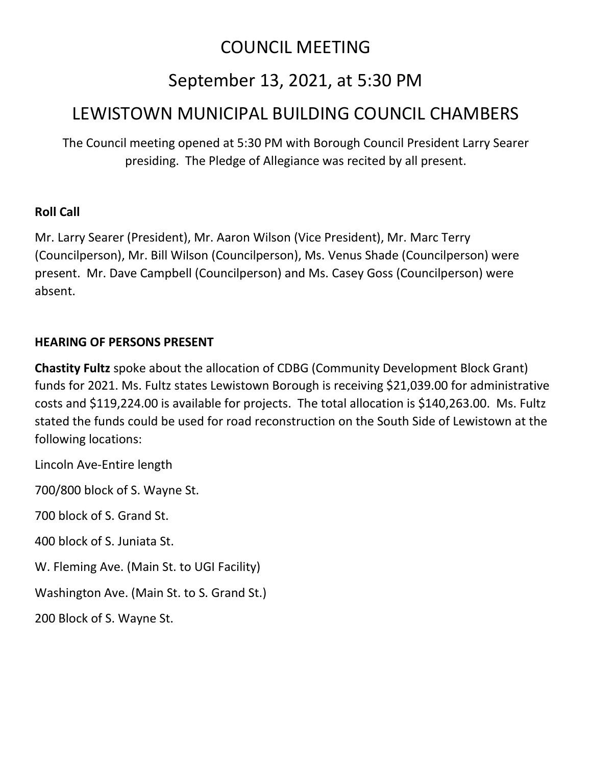# COUNCIL MEETING

# September 13, 2021, at 5:30 PM

# LEWISTOWN MUNICIPAL BUILDING COUNCIL CHAMBERS

The Council meeting opened at 5:30 PM with Borough Council President Larry Searer presiding. The Pledge of Allegiance was recited by all present.

# **Roll Call**

Mr. Larry Searer (President), Mr. Aaron Wilson (Vice President), Mr. Marc Terry (Councilperson), Mr. Bill Wilson (Councilperson), Ms. Venus Shade (Councilperson) were present. Mr. Dave Campbell (Councilperson) and Ms. Casey Goss (Councilperson) were absent.

# **HEARING OF PERSONS PRESENT**

**Chastity Fultz** spoke about the allocation of CDBG (Community Development Block Grant) funds for 2021. Ms. Fultz states Lewistown Borough is receiving \$21,039.00 for administrative costs and \$119,224.00 is available for projects. The total allocation is \$140,263.00. Ms. Fultz stated the funds could be used for road reconstruction on the South Side of Lewistown at the following locations:

Lincoln Ave-Entire length

700/800 block of S. Wayne St.

700 block of S. Grand St.

400 block of S. Juniata St.

W. Fleming Ave. (Main St. to UGI Facility)

Washington Ave. (Main St. to S. Grand St.)

200 Block of S. Wayne St.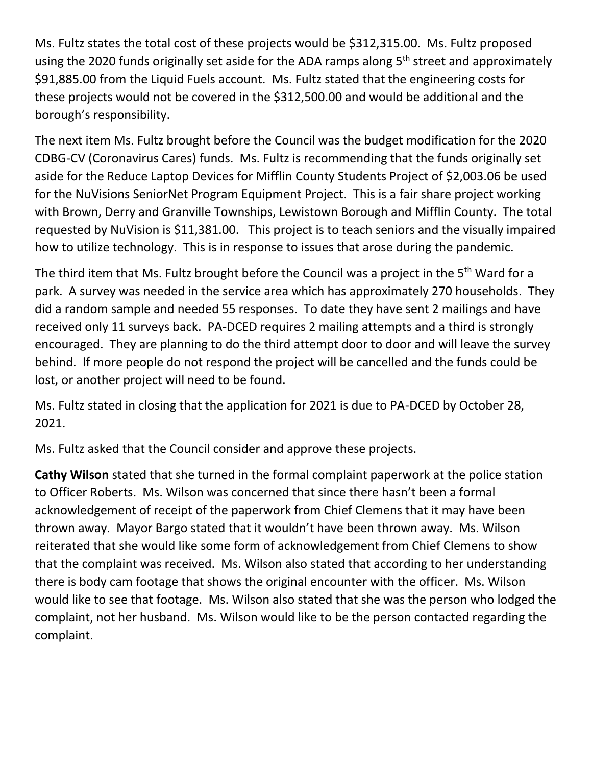Ms. Fultz states the total cost of these projects would be \$312,315.00. Ms. Fultz proposed using the 2020 funds originally set aside for the ADA ramps along 5<sup>th</sup> street and approximately \$91,885.00 from the Liquid Fuels account. Ms. Fultz stated that the engineering costs for these projects would not be covered in the \$312,500.00 and would be additional and the borough's responsibility.

The next item Ms. Fultz brought before the Council was the budget modification for the 2020 CDBG-CV (Coronavirus Cares) funds. Ms. Fultz is recommending that the funds originally set aside for the Reduce Laptop Devices for Mifflin County Students Project of \$2,003.06 be used for the NuVisions SeniorNet Program Equipment Project. This is a fair share project working with Brown, Derry and Granville Townships, Lewistown Borough and Mifflin County. The total requested by NuVision is \$11,381.00. This project is to teach seniors and the visually impaired how to utilize technology. This is in response to issues that arose during the pandemic.

The third item that Ms. Fultz brought before the Council was a project in the 5<sup>th</sup> Ward for a park. A survey was needed in the service area which has approximately 270 households. They did a random sample and needed 55 responses. To date they have sent 2 mailings and have received only 11 surveys back. PA-DCED requires 2 mailing attempts and a third is strongly encouraged. They are planning to do the third attempt door to door and will leave the survey behind. If more people do not respond the project will be cancelled and the funds could be lost, or another project will need to be found.

Ms. Fultz stated in closing that the application for 2021 is due to PA-DCED by October 28, 2021.

Ms. Fultz asked that the Council consider and approve these projects.

**Cathy Wilson** stated that she turned in the formal complaint paperwork at the police station to Officer Roberts. Ms. Wilson was concerned that since there hasn't been a formal acknowledgement of receipt of the paperwork from Chief Clemens that it may have been thrown away. Mayor Bargo stated that it wouldn't have been thrown away. Ms. Wilson reiterated that she would like some form of acknowledgement from Chief Clemens to show that the complaint was received. Ms. Wilson also stated that according to her understanding there is body cam footage that shows the original encounter with the officer. Ms. Wilson would like to see that footage. Ms. Wilson also stated that she was the person who lodged the complaint, not her husband. Ms. Wilson would like to be the person contacted regarding the complaint.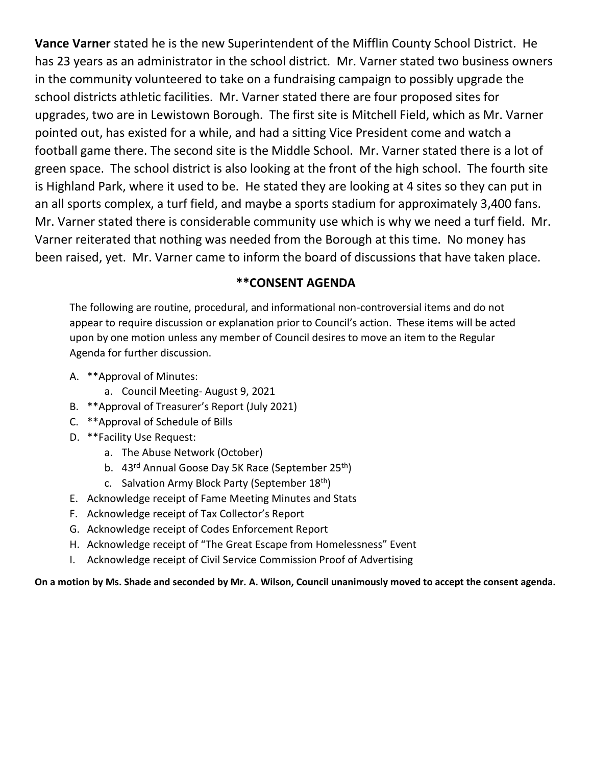**Vance Varner** stated he is the new Superintendent of the Mifflin County School District. He has 23 years as an administrator in the school district. Mr. Varner stated two business owners in the community volunteered to take on a fundraising campaign to possibly upgrade the school districts athletic facilities. Mr. Varner stated there are four proposed sites for upgrades, two are in Lewistown Borough. The first site is Mitchell Field, which as Mr. Varner pointed out, has existed for a while, and had a sitting Vice President come and watch a football game there. The second site is the Middle School. Mr. Varner stated there is a lot of green space. The school district is also looking at the front of the high school. The fourth site is Highland Park, where it used to be. He stated they are looking at 4 sites so they can put in an all sports complex, a turf field, and maybe a sports stadium for approximately 3,400 fans. Mr. Varner stated there is considerable community use which is why we need a turf field. Mr. Varner reiterated that nothing was needed from the Borough at this time. No money has been raised, yet. Mr. Varner came to inform the board of discussions that have taken place.

# **\*\*CONSENT AGENDA**

The following are routine, procedural, and informational non-controversial items and do not appear to require discussion or explanation prior to Council's action. These items will be acted upon by one motion unless any member of Council desires to move an item to the Regular Agenda for further discussion.

- A. \*\*Approval of Minutes:
	- a. Council Meeting- August 9, 2021
- B. \*\*Approval of Treasurer's Report (July 2021)
- C. \*\*Approval of Schedule of Bills
- D. \*\*Facility Use Request:
	- a. The Abuse Network (October)
	- b. 43<sup>rd</sup> Annual Goose Day 5K Race (September 25<sup>th</sup>)
	- c. Salvation Army Block Party (September 18<sup>th</sup>)
- E. Acknowledge receipt of Fame Meeting Minutes and Stats
- F. Acknowledge receipt of Tax Collector's Report
- G. Acknowledge receipt of Codes Enforcement Report
- H. Acknowledge receipt of "The Great Escape from Homelessness" Event
- I. Acknowledge receipt of Civil Service Commission Proof of Advertising

**On a motion by Ms. Shade and seconded by Mr. A. Wilson, Council unanimously moved to accept the consent agenda.**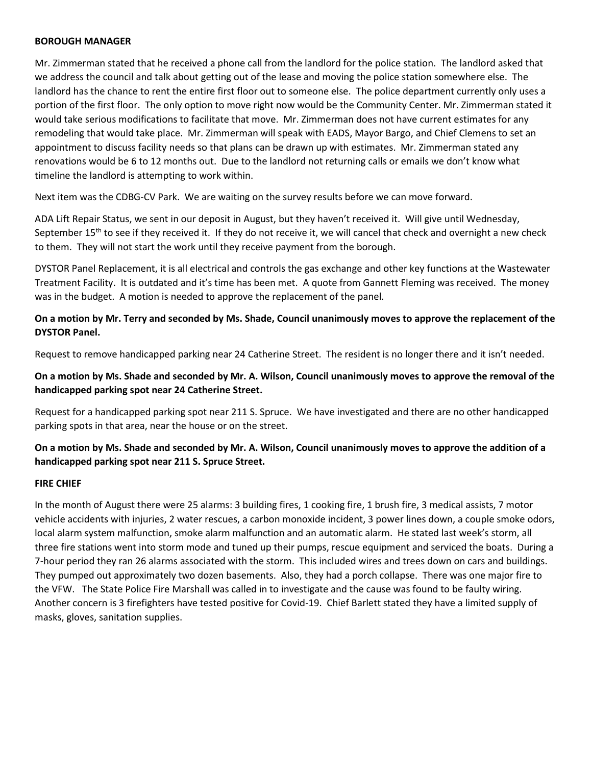#### **BOROUGH MANAGER**

Mr. Zimmerman stated that he received a phone call from the landlord for the police station. The landlord asked that we address the council and talk about getting out of the lease and moving the police station somewhere else. The landlord has the chance to rent the entire first floor out to someone else. The police department currently only uses a portion of the first floor. The only option to move right now would be the Community Center. Mr. Zimmerman stated it would take serious modifications to facilitate that move. Mr. Zimmerman does not have current estimates for any remodeling that would take place. Mr. Zimmerman will speak with EADS, Mayor Bargo, and Chief Clemens to set an appointment to discuss facility needs so that plans can be drawn up with estimates. Mr. Zimmerman stated any renovations would be 6 to 12 months out. Due to the landlord not returning calls or emails we don't know what timeline the landlord is attempting to work within.

Next item was the CDBG-CV Park. We are waiting on the survey results before we can move forward.

ADA Lift Repair Status, we sent in our deposit in August, but they haven't received it. Will give until Wednesday, September  $15<sup>th</sup>$  to see if they received it. If they do not receive it, we will cancel that check and overnight a new check to them. They will not start the work until they receive payment from the borough.

DYSTOR Panel Replacement, it is all electrical and controls the gas exchange and other key functions at the Wastewater Treatment Facility. It is outdated and it's time has been met. A quote from Gannett Fleming was received. The money was in the budget. A motion is needed to approve the replacement of the panel.

## **On a motion by Mr. Terry and seconded by Ms. Shade, Council unanimously moves to approve the replacement of the DYSTOR Panel.**

Request to remove handicapped parking near 24 Catherine Street. The resident is no longer there and it isn't needed.

## **On a motion by Ms. Shade and seconded by Mr. A. Wilson, Council unanimously moves to approve the removal of the handicapped parking spot near 24 Catherine Street.**

Request for a handicapped parking spot near 211 S. Spruce. We have investigated and there are no other handicapped parking spots in that area, near the house or on the street.

# **On a motion by Ms. Shade and seconded by Mr. A. Wilson, Council unanimously moves to approve the addition of a handicapped parking spot near 211 S. Spruce Street.**

#### **FIRE CHIEF**

In the month of August there were 25 alarms: 3 building fires, 1 cooking fire, 1 brush fire, 3 medical assists, 7 motor vehicle accidents with injuries, 2 water rescues, a carbon monoxide incident, 3 power lines down, a couple smoke odors, local alarm system malfunction, smoke alarm malfunction and an automatic alarm. He stated last week's storm, all three fire stations went into storm mode and tuned up their pumps, rescue equipment and serviced the boats. During a 7-hour period they ran 26 alarms associated with the storm. This included wires and trees down on cars and buildings. They pumped out approximately two dozen basements. Also, they had a porch collapse. There was one major fire to the VFW. The State Police Fire Marshall was called in to investigate and the cause was found to be faulty wiring. Another concern is 3 firefighters have tested positive for Covid-19. Chief Barlett stated they have a limited supply of masks, gloves, sanitation supplies.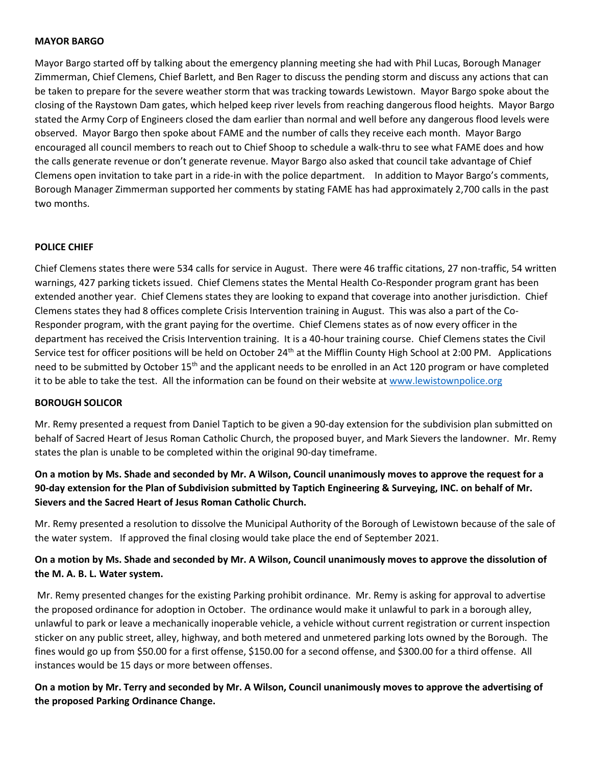#### **MAYOR BARGO**

Mayor Bargo started off by talking about the emergency planning meeting she had with Phil Lucas, Borough Manager Zimmerman, Chief Clemens, Chief Barlett, and Ben Rager to discuss the pending storm and discuss any actions that can be taken to prepare for the severe weather storm that was tracking towards Lewistown. Mayor Bargo spoke about the closing of the Raystown Dam gates, which helped keep river levels from reaching dangerous flood heights. Mayor Bargo stated the Army Corp of Engineers closed the dam earlier than normal and well before any dangerous flood levels were observed. Mayor Bargo then spoke about FAME and the number of calls they receive each month. Mayor Bargo encouraged all council members to reach out to Chief Shoop to schedule a walk-thru to see what FAME does and how the calls generate revenue or don't generate revenue. Mayor Bargo also asked that council take advantage of Chief Clemens open invitation to take part in a ride-in with the police department. In addition to Mayor Bargo's comments, Borough Manager Zimmerman supported her comments by stating FAME has had approximately 2,700 calls in the past two months.

#### **POLICE CHIEF**

Chief Clemens states there were 534 calls for service in August. There were 46 traffic citations, 27 non-traffic, 54 written warnings, 427 parking tickets issued. Chief Clemens states the Mental Health Co-Responder program grant has been extended another year. Chief Clemens states they are looking to expand that coverage into another jurisdiction. Chief Clemens states they had 8 offices complete Crisis Intervention training in August. This was also a part of the Co-Responder program, with the grant paying for the overtime. Chief Clemens states as of now every officer in the department has received the Crisis Intervention training. It is a 40-hour training course. Chief Clemens states the Civil Service test for officer positions will be held on October  $24<sup>th</sup>$  at the Mifflin County High School at 2:00 PM. Applications need to be submitted by October 15<sup>th</sup> and the applicant needs to be enrolled in an Act 120 program or have completed it to be able to take the test. All the information can be found on their website at [www.lewistownpolice.org](http://www.lewistownpolice.org/)

#### **BOROUGH SOLICOR**

Mr. Remy presented a request from Daniel Taptich to be given a 90-day extension for the subdivision plan submitted on behalf of Sacred Heart of Jesus Roman Catholic Church, the proposed buyer, and Mark Sievers the landowner. Mr. Remy states the plan is unable to be completed within the original 90-day timeframe.

# **On a motion by Ms. Shade and seconded by Mr. A Wilson, Council unanimously moves to approve the request for a 90-day extension for the Plan of Subdivision submitted by Taptich Engineering & Surveying, INC. on behalf of Mr. Sievers and the Sacred Heart of Jesus Roman Catholic Church.**

Mr. Remy presented a resolution to dissolve the Municipal Authority of the Borough of Lewistown because of the sale of the water system. If approved the final closing would take place the end of September 2021.

# **On a motion by Ms. Shade and seconded by Mr. A Wilson, Council unanimously moves to approve the dissolution of the M. A. B. L. Water system.**

Mr. Remy presented changes for the existing Parking prohibit ordinance. Mr. Remy is asking for approval to advertise the proposed ordinance for adoption in October. The ordinance would make it unlawful to park in a borough alley, unlawful to park or leave a mechanically inoperable vehicle, a vehicle without current registration or current inspection sticker on any public street, alley, highway, and both metered and unmetered parking lots owned by the Borough. The fines would go up from \$50.00 for a first offense, \$150.00 for a second offense, and \$300.00 for a third offense. All instances would be 15 days or more between offenses.

### **On a motion by Mr. Terry and seconded by Mr. A Wilson, Council unanimously moves to approve the advertising of the proposed Parking Ordinance Change.**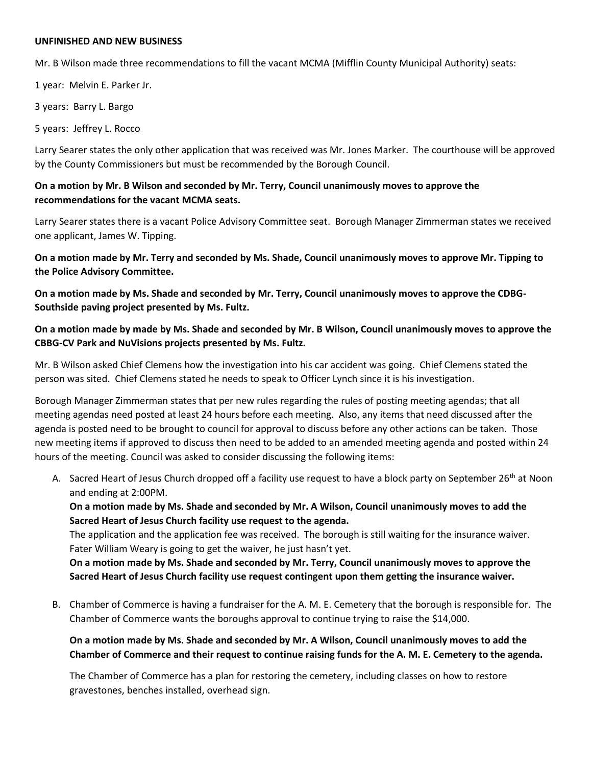#### **UNFINISHED AND NEW BUSINESS**

Mr. B Wilson made three recommendations to fill the vacant MCMA (Mifflin County Municipal Authority) seats:

1 year: Melvin E. Parker Jr.

3 years: Barry L. Bargo

5 years: Jeffrey L. Rocco

Larry Searer states the only other application that was received was Mr. Jones Marker. The courthouse will be approved by the County Commissioners but must be recommended by the Borough Council.

### **On a motion by Mr. B Wilson and seconded by Mr. Terry, Council unanimously moves to approve the recommendations for the vacant MCMA seats.**

Larry Searer states there is a vacant Police Advisory Committee seat. Borough Manager Zimmerman states we received one applicant, James W. Tipping.

**On a motion made by Mr. Terry and seconded by Ms. Shade, Council unanimously moves to approve Mr. Tipping to the Police Advisory Committee.** 

**On a motion made by Ms. Shade and seconded by Mr. Terry, Council unanimously moves to approve the CDBG-Southside paving project presented by Ms. Fultz.** 

**On a motion made by made by Ms. Shade and seconded by Mr. B Wilson, Council unanimously moves to approve the CBBG-CV Park and NuVisions projects presented by Ms. Fultz.**

Mr. B Wilson asked Chief Clemens how the investigation into his car accident was going. Chief Clemens stated the person was sited. Chief Clemens stated he needs to speak to Officer Lynch since it is his investigation.

Borough Manager Zimmerman states that per new rules regarding the rules of posting meeting agendas; that all meeting agendas need posted at least 24 hours before each meeting. Also, any items that need discussed after the agenda is posted need to be brought to council for approval to discuss before any other actions can be taken. Those new meeting items if approved to discuss then need to be added to an amended meeting agenda and posted within 24 hours of the meeting. Council was asked to consider discussing the following items:

A. Sacred Heart of Jesus Church dropped off a facility use request to have a block party on September 26<sup>th</sup> at Noon and ending at 2:00PM.

**On a motion made by Ms. Shade and seconded by Mr. A Wilson, Council unanimously moves to add the Sacred Heart of Jesus Church facility use request to the agenda.** 

The application and the application fee was received. The borough is still waiting for the insurance waiver. Fater William Weary is going to get the waiver, he just hasn't yet.

**On a motion made by Ms. Shade and seconded by Mr. Terry, Council unanimously moves to approve the Sacred Heart of Jesus Church facility use request contingent upon them getting the insurance waiver.** 

B. Chamber of Commerce is having a fundraiser for the A. M. E. Cemetery that the borough is responsible for. The Chamber of Commerce wants the boroughs approval to continue trying to raise the \$14,000.

**On a motion made by Ms. Shade and seconded by Mr. A Wilson, Council unanimously moves to add the Chamber of Commerce and their request to continue raising funds for the A. M. E. Cemetery to the agenda.** 

The Chamber of Commerce has a plan for restoring the cemetery, including classes on how to restore gravestones, benches installed, overhead sign.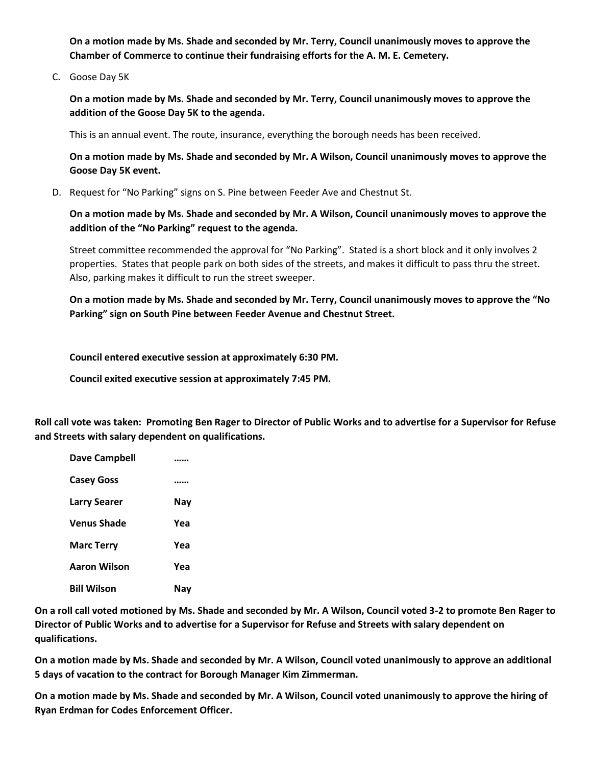**On a motion made by Ms. Shade and seconded by Mr. Terry, Council unanimously moves to approve the Chamber of Commerce to continue their fundraising efforts for the A. M. E. Cemetery.** 

C. Goose Day 5K

**On a motion made by Ms. Shade and seconded by Mr. Terry, Council unanimously moves to approve the addition of the Goose Day 5K to the agenda.** 

This is an annual event. The route, insurance, everything the borough needs has been received.

**On a motion made by Ms. Shade and seconded by Mr. A Wilson, Council unanimously moves to approve the Goose Day 5K event.** 

D. Request for "No Parking" signs on S. Pine between Feeder Ave and Chestnut St.

**On a motion made by Ms. Shade and seconded by Mr. A Wilson, Council unanimously moves to approve the addition of the "No Parking" request to the agenda.** 

Street committee recommended the approval for "No Parking". Stated is a short block and it only involves 2 properties. States that people park on both sides of the streets, and makes it difficult to pass thru the street. Also, parking makes it difficult to run the street sweeper.

**On a motion made by Ms. Shade and seconded by Mr. Terry, Council unanimously moves to approve the "No Parking" sign on South Pine between Feeder Avenue and Chestnut Street.** 

**Council entered executive session at approximately 6:30 PM.**

**Council exited executive session at approximately 7:45 PM.** 

**Roll call vote was taken: Promoting Ben Rager to Director of Public Works and to advertise for a Supervisor for Refuse and Streets with salary dependent on qualifications.**

| Dave Campbell       |     |
|---------------------|-----|
| <b>Casey Goss</b>   |     |
| <b>Larry Searer</b> | Nay |
| Venus Shade         | Yea |
| <b>Marc Terry</b>   | Yea |
| Aaron Wilson        | Yea |
| <b>Bill Wilson</b>  | Nav |

**On a roll call voted motioned by Ms. Shade and seconded by Mr. A Wilson, Council voted 3-2 to promote Ben Rager to Director of Public Works and to advertise for a Supervisor for Refuse and Streets with salary dependent on qualifications.** 

**On a motion made by Ms. Shade and seconded by Mr. A Wilson, Council voted unanimously to approve an additional 5 days of vacation to the contract for Borough Manager Kim Zimmerman.**

**On a motion made by Ms. Shade and seconded by Mr. A Wilson, Council voted unanimously to approve the hiring of Ryan Erdman for Codes Enforcement Officer.**